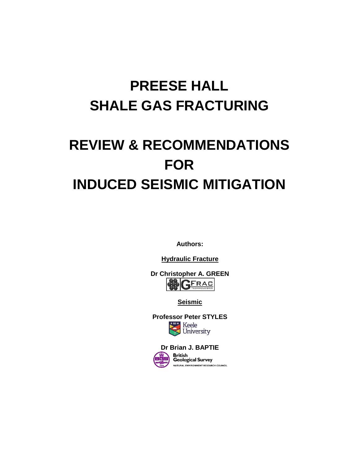# **PREESE HALL SHALE GAS FRACTURING**

# **REVIEW & RECOMMENDATIONS FOR INDUCED SEISMIC MITIGATION**

**Authors:**

**Hydraulic Fracture**

**Dr Christopher A. GREEN** 

**Seismic**

**Professor Peter STYLES** Keele<br>University

**Dr Brian J. BAPTIEBritish Geological Survey** NATURAL ENVIRONMENT RESEARCH COUNCIL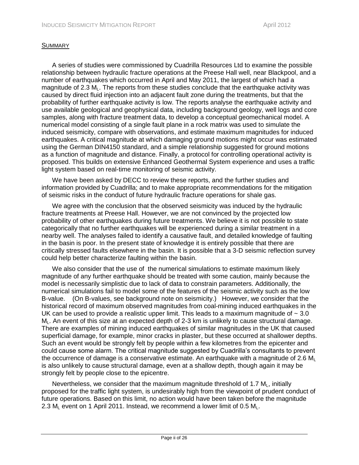# **SUMMARY**

A series of studies were commissioned by Cuadrilla Resources Ltd to examine the possible relationship between hydraulic fracture operations at the Preese Hall well, near Blackpool, and a number of earthquakes which occurred in April and May 2011, the largest of which had a magnitude of  $2.3$  M<sub>L</sub>. The reports from these studies conclude that the earthquake activity was caused by direct fluid injection into an adjacent fault zone during the treatments, but that the probability of further earthquake activity is low. The reports analyse the earthquake activity and use available geological and geophysical data, including background geology, well logs and core samples, along with fracture treatment data, to develop a conceptual geomechanical model. A numerical model consisting of a single fault plane in a rock matrix was used to simulate the induced seismicity, compare with observations, and estimate maximum magnitudes for induced earthquakes. A critical magnitude at which damaging ground motions might occur was estimated using the German DIN4150 standard, and a simple relationship suggested for ground motions as a function of magnitude and distance. Finally, a protocol for controlling operational activity is proposed. This builds on extensive Enhanced Geothermal System experience and uses a traffic light system based on real-time monitoring of seismic activity.

We have been asked by DECC to review these reports, and the further studies and information provided by Cuadrilla; and to make appropriate recommendations for the mitigation of seismic risks in the conduct of future hydraulic fracture operations for shale gas.

We agree with the conclusion that the observed seismicity was induced by the hydraulic fracture treatments at Preese Hall. However, we are not convinced by the projected low probability of other earthquakes during future treatments. We believe it is not possible to state categorically that no further earthquakes will be experienced during a similar treatment in a nearby well. The analyses failed to identify a causative fault, and detailed knowledge of faulting in the basin is poor. In the present state of knowledge it is entirely possible that there are critically stressed faults elsewhere in the basin. It is possible that a 3-D seismic reflection survey could help better characterize faulting within the basin.

We also consider that the use of the numerical simulations to estimate maximum likely magnitude of any further earthquake should be treated with some caution, mainly because the model is necessarily simplistic due to lack of data to constrain parameters. Additionally, the numerical simulations fail to model some of the features of the seismic activity such as the low B-value. (On B-values, see background note on seismicity.) However, we consider that the historical record of maximum observed magnitudes from coal-mining induced earthquakes in the UK can be used to provide a realistic upper limit. This leads to a maximum magnitude of  $\sim$  3.0  $M<sub>l</sub>$ . An event of this size at an expected depth of 2-3 km is unlikely to cause structural damage. There are examples of mining induced earthquakes of similar magnitudes in the UK that caused superficial damage, for example, minor cracks in plaster, but these occurred at shallower depths. Such an event would be strongly felt by people within a few kilometres from the epicenter and could cause some alarm. The critical magnitude suggested by Cuadrilla's consultants to prevent the occurrence of damage is a conservative estimate. An earthquake with a magnitude of 2.6  $M<sub>L</sub>$ is also unlikely to cause structural damage, even at a shallow depth, though again it may be strongly felt by people close to the epicentre.

Nevertheless, we consider that the maximum magnitude threshold of 1.7  $M_L$ , initially proposed for the traffic light system, is undesirably high from the viewpoint of prudent conduct of future operations. Based on this limit, no action would have been taken before the magnitude 2.3  $M<sub>L</sub>$  event on 1 April 2011. Instead, we recommend a lower limit of 0.5  $M<sub>L</sub>$ .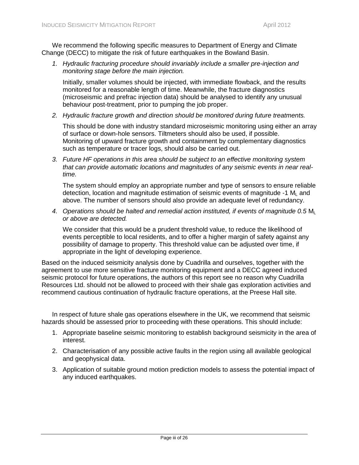We recommend the following specific measures to Department of Energy and Climate Change (DECC) to mitigate the risk of future earthquakes in the Bowland Basin.

*1. Hydraulic fracturing procedure should invariably include a smaller pre-injection and monitoring stage before the main injection.* 

Initially, smaller volumes should be injected, with immediate flowback, and the results monitored for a reasonable length of time. Meanwhile, the fracture diagnostics (microseismic and prefrac injection data) should be analysed to identify any unusual behaviour post-treatment, prior to pumping the job proper.

*2. Hydraulic fracture growth and direction should be monitored during future treatments.* 

This should be done with industry standard microseismic monitoring using either an array of surface or down-hole sensors. Tiltmeters should also be used, if possible. Monitoring of upward fracture growth and containment by complementary diagnostics such as temperature or tracer logs, should also be carried out.

*3. Future HF operations in this area should be subject to an effective monitoring system that can provide automatic locations and magnitudes of any seismic events in near realtime.* 

The system should employ an appropriate number and type of sensors to ensure reliable detection, location and magnitude estimation of seismic events of magnitude  $-1$  M<sub>i</sub> and above. The number of sensors should also provide an adequate level of redundancy.

4. Operations should be halted and remedial action instituted, if events of magnitude 0.5 M *or above are detected.*

We consider that this would be a prudent threshold value, to reduce the likelihood of events perceptible to local residents, and to offer a higher margin of safety against any possibility of damage to property. This threshold value can be adjusted over time, if appropriate in the light of developing experience.

Based on the induced seismicity analysis done by Cuadrilla and ourselves, together with the agreement to use more sensitive fracture monitoring equipment and a DECC agreed induced seismic protocol for future operations, the authors of this report see no reason why Cuadrilla Resources Ltd. should not be allowed to proceed with their shale gas exploration activities and recommend cautious continuation of hydraulic fracture operations, at the Preese Hall site.

In respect of future shale gas operations elsewhere in the UK, we recommend that seismic hazards should be assessed prior to proceeding with these operations. This should include:

- 1. Appropriate baseline seismic monitoring to establish background seismicity in the area of interest.
- 2. Characterisation of any possible active faults in the region using all available geological and geophysical data.
- 3. Application of suitable ground motion prediction models to assess the potential impact of any induced earthquakes.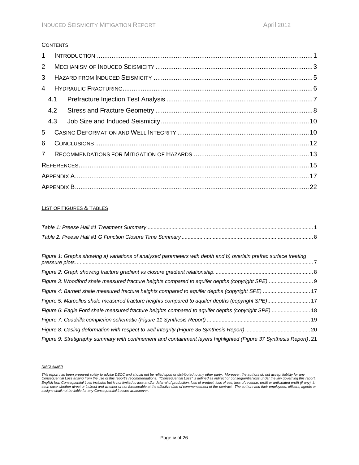### **CONTENTS**

| $\mathbf{1}$   |     |  |  |  |  |  |  |
|----------------|-----|--|--|--|--|--|--|
| $\overline{2}$ |     |  |  |  |  |  |  |
| 3              |     |  |  |  |  |  |  |
| 4              |     |  |  |  |  |  |  |
|                | 4.1 |  |  |  |  |  |  |
|                | 4.2 |  |  |  |  |  |  |
|                | 4.3 |  |  |  |  |  |  |
| 5              |     |  |  |  |  |  |  |
| 6              |     |  |  |  |  |  |  |
| $\overline{7}$ |     |  |  |  |  |  |  |
|                |     |  |  |  |  |  |  |
|                |     |  |  |  |  |  |  |
|                |     |  |  |  |  |  |  |

#### LIST OF FIGURES & TABLES

| Figure 1: Graphs showing a) variations of analysed parameters with depth and b) overlain prefrac surface treating   |  |
|---------------------------------------------------------------------------------------------------------------------|--|
|                                                                                                                     |  |
|                                                                                                                     |  |
|                                                                                                                     |  |
|                                                                                                                     |  |
| Figure 6: Eagle Ford shale measured fracture heights compared to aquifer depths (copyright SPE)  18                 |  |
|                                                                                                                     |  |
|                                                                                                                     |  |
| Figure 9: Stratigraphy summary with confinement and containment layers highlighted (Figure 37 Synthesis Report). 21 |  |

#### *DISCLAIMER*

This report has been prepared solely to advise DECC and should not be relied upon or distributed to any other party. Moreover, the authors do not accept liability for any<br>Consequential Loss arising from the use of this rep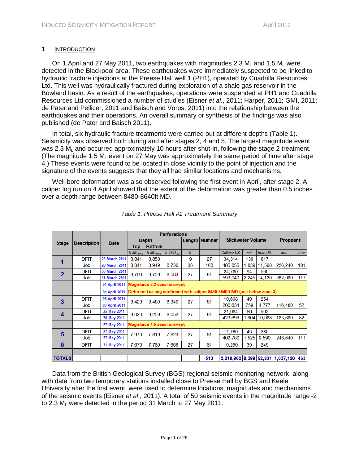# <span id="page-4-0"></span>1 INTRODUCTION

On 1 April and 27 May 2011, two earthquakes with magnitudes 2.3 M<sub>L</sub> and 1.5 M<sub>L</sub> were detected in the Blackpool area. These earthquakes were immediately suspected to be linked to hydraulic fracture injections at the Preese Hall well 1 (PH1), operated by Cuadrilla Resources Ltd. This well was hydraulically fractured during exploration of a shale gas reservoir in the Bowland basin. As a result of the earthquakes, operations were suspended at PH1 and Cuadrilla Resources Ltd commissioned a number of studies (Eisner *et al.*, 2011; Harper, 2011; GMI, 2011; de Pater and Pellicer, 2011 and Baisch and Voros, 2011) into the relationship between the earthquakes and their operations. An overall summary or synthesis of the findings was also published (de Pater and Baisch 2011).

In total, six hydraulic fracture treatments were carried out at different depths (Table 1). Seismicity was observed both during and after stages 2, 4 and 5. The largest magnitude event was 2.3  $M<sub>L</sub>$  and occurred approximately 10 hours after shut-in, following the stage 2 treatment. (The magnitude 1.5  $M<sub>1</sub>$  event on 27 May was approximately the same period of time after stage 4.) These events were found to be located in close vicinity to the point of injection and the signature of the events suggests that they all had similar locations and mechanisms.

Well-bore deformation was also observed following the first event in April, after stage 2. A caliper log run on 4 April showed that the extent of the deformation was greater than 0.5 inches over a depth range between 8480-8640ft MD.

<span id="page-4-1"></span>

|                | <b>Description</b> | Date                 | <b>Perforations</b>         |                                                                           |               |      |                      |                          |                |          |                                      |         |     |
|----------------|--------------------|----------------------|-----------------------------|---------------------------------------------------------------------------|---------------|------|----------------------|--------------------------|----------------|----------|--------------------------------------|---------|-----|
| <b>Stage</b>   |                    |                      | <b>Depth</b>                |                                                                           |               |      | <b>Length Number</b> | <b>Slickwater Volume</b> |                | Proppant |                                      |         |     |
|                |                    |                      | <b>Top</b>                  | <b>Bottom</b>                                                             |               |      |                      |                          |                |          |                                      |         |     |
|                |                    |                      | $ftMD_{RKB}$                | $f$ t MD $_{RKB}$                                                         | ft $TVD_{SS}$ | $ft$ |                      | Gallons US               | m <sup>3</sup> | bbls US  | $l$ bm                               | mton    |     |
| 1              | <b>DFIT</b>        | <b>26 March 2011</b> | 8.841                       | 8.850                                                                     |               | 9    | 27                   | 34.314                   | 130            | 817      |                                      |         |     |
|                | Job                | <b>28 March 2011</b> | 8.841                       | 8.949                                                                     | 8,730         | 36   | 108                  | 485,856                  | 1.839          | 11,568   | 226,240                              | 101     |     |
| $\overline{2}$ | <b>DFIT</b>        | <b>30 March 2011</b> | 8,700                       | 8,759                                                                     | 8,583         | 27   | 81                   | 24,780                   | 94             | 590      |                                      |         |     |
|                | Job                | <b>31 March 2011</b> |                             |                                                                           |               |      |                      | 593,040                  | 2,245          | 14,120   | 262,080                              | 117     |     |
|                |                    | 01 April 2011        | Magnitude 2.3 seismic event |                                                                           |               |      |                      |                          |                |          |                                      |         |     |
|                |                    | 04 April 2011        |                             | Deformed casing confirmed with caliper 8480-8640ft MD (just below zone 3) |               |      |                      |                          |                |          |                                      |         |     |
| 3              | <b>DFIT</b>        | <b>08 April 2011</b> | 8,420                       | 8.489                                                                     | 8,340         | 27   | 81                   | 10,668                   | 40             | 254      |                                      |         |     |
|                | Job                | 09 April 2011        |                             |                                                                           |               |      |                      |                          |                |          |                                      | 200.634 | 759 |
| 4              | <b>DFIT</b>        | 25 May 2011          | 8,020                       | 8,259                                                                     | 8,052         | 27   | 81                   | 21,084                   | 80             | 502      |                                      |         |     |
|                | Job                | 26 May 2011          |                             |                                                                           |               |      |                      |                          | 423,696        | 1,604    | 10,088                               | 183,680 | 82  |
|                |                    | 27 May 2011          | Magnitude 1.5 seismic event |                                                                           |               |      |                      |                          |                |          |                                      |         |     |
| 5              | <b>DFIT</b>        | 27 May 2011          | 7,970                       | 7.819                                                                     | 7,823         | 27   | 81                   | 11,760                   | 45             | 280      |                                      |         |     |
|                | Job                | 27 May 2011          |                             |                                                                           |               |      |                      | 402,780                  | 1,525          | 9,590    | 248,640                              | 111     |     |
| 6              | <b>DFIT</b>        | 31 May 2011          | 7,670                       | 7,789                                                                     | 7,666         | 27   | 81                   | 10,290                   | 39             | 245      |                                      |         |     |
|                |                    |                      |                             |                                                                           |               |      |                      |                          |                |          |                                      |         |     |
| <b>TOTALS</b>  |                    |                      |                             |                                                                           |               |      | 513                  |                          |                |          | 2.218.902 8.399 52.831 1.037.120 463 |         |     |

*Table 1: Preese Hall #1 Treatment Summary*

Data from the British Geological Survey (BGS) regional seismic monitoring network, along with data from two temporary stations installed close to Preese Hall by BGS and Keele University after the first event, were used to determine locations, magnitudes and mechanisms of the seismic events (Eisner *et al*., 2011). A total of 50 seismic events in the magnitude range -2 to 2.3 M<sub>i</sub> were detected in the period 31 March to 27 May 2011.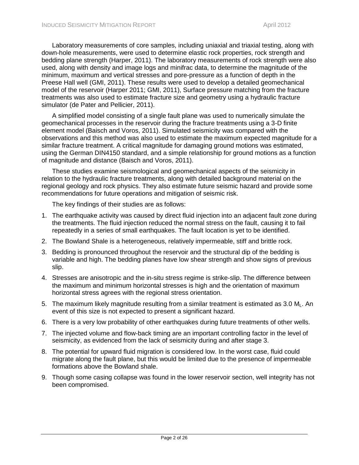Laboratory measurements of core samples, including uniaxial and triaxial testing, along with down-hole measurements, were used to determine elastic rock properties, rock strength and bedding plane strength (Harper, 2011). The laboratory measurements of rock strength were also used, along with density and image logs and minifrac data, to determine the magnitude of the minimum, maximum and vertical stresses and pore-pressure as a function of depth in the Preese Hall well (GMI, 2011). These results were used to develop a detailed geomechanical model of the reservoir (Harper 2011; GMI, 2011), Surface pressure matching from the fracture treatments was also used to estimate fracture size and geometry using a hydraulic fracture simulator (de Pater and Pellicier, 2011).

A simplified model consisting of a single fault plane was used to numerically simulate the geomechanical processes in the reservoir during the fracture treatments using a 3-D finite element model (Baisch and Voros, 2011). Simulated seismicity was compared with the observations and this method was also used to estimate the maximum expected magnitude for a similar fracture treatment. A critical magnitude for damaging ground motions was estimated, using the German DIN4150 standard, and a simple relationship for ground motions as a function of magnitude and distance (Baisch and Voros, 2011).

These studies examine seismological and geomechanical aspects of the seismicity in relation to the hydraulic fracture treatments, along with detailed background material on the regional geology and rock physics. They also estimate future seismic hazard and provide some recommendations for future operations and mitigation of seismic risk.

The key findings of their studies are as follows:

- 1. The earthquake activity was caused by direct fluid injection into an adjacent fault zone during the treatments. The fluid injection reduced the normal stress on the fault, causing it to fail repeatedly in a series of small earthquakes. The fault location is yet to be identified.
- 2. The Bowland Shale is a heterogeneous, relatively impermeable, stiff and brittle rock.
- 3. Bedding is pronounced throughout the reservoir and the structural dip of the bedding is variable and high. The bedding planes have low shear strength and show signs of previous slip.
- 4. Stresses are anisotropic and the in-situ stress regime is strike-slip. The difference between the maximum and minimum horizontal stresses is high and the orientation of maximum horizontal stress agrees with the regional stress orientation.
- 5. The maximum likely magnitude resulting from a similar treatment is estimated as 3.0  $M<sub>l</sub>$ . An event of this size is not expected to present a significant hazard.
- 6. There is a very low probability of other earthquakes during future treatments of other wells.
- 7. The injected volume and flow-back timing are an important controlling factor in the level of seismicity, as evidenced from the lack of seismicity during and after stage 3.
- 8. The potential for upward fluid migration is considered low. In the worst case, fluid could migrate along the fault plane, but this would be limited due to the presence of impermeable formations above the Bowland shale.
- 9. Though some casing collapse was found in the lower reservoir section, well integrity has not been compromised.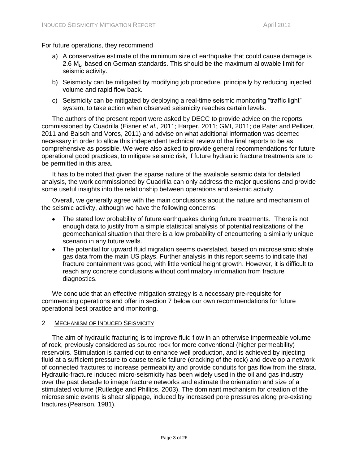For future operations, they recommend

- a) A conservative estimate of the minimum size of earthquake that could cause damage is 2.6  $M<sub>L</sub>$ , based on German standards. This should be the maximum allowable limit for seismic activity.
- b) Seismicity can be mitigated by modifying job procedure, principally by reducing injected volume and rapid flow back.
- c) Seismicity can be mitigated by deploying a real-time seismic monitoring "traffic light" system, to take action when observed seismicity reaches certain levels.

The authors of the present report were asked by DECC to provide advice on the reports commissioned by Cuadrilla (Eisner *et al.*, 2011; Harper, 2011; GMI, 2011; de Pater and Pellicer, 2011 and Baisch and Voros, 2011) and advise on what additional information was deemed necessary in order to allow this independent technical review of the final reports to be as comprehensive as possible. We were also asked to provide general recommendations for future operational good practices, to mitigate seismic risk, if future hydraulic fracture treatments are to be permitted in this area.

It has to be noted that given the sparse nature of the available seismic data for detailed analysis, the work commissioned by Cuadrilla can only address the major questions and provide some useful insights into the relationship between operations and seismic activity.

Overall, we generally agree with the main conclusions about the nature and mechanism of the seismic activity, although we have the following concerns:

- The stated low probability of future earthquakes during future treatments. There is not enough data to justify from a simple statistical analysis of potential realizations of the geomechanical situation that there is a low probability of encountering a similarly unique scenario in any future wells.
- The potential for upward fluid migration seems overstated, based on microseismic shale gas data from the main US plays. Further analysis in this report seems to indicate that fracture containment was good, with little vertical height growth. However, it is difficult to reach any concrete conclusions without confirmatory information from fracture diagnostics.

We conclude that an effective mitigation strategy is a necessary pre-requisite for commencing operations and offer in section 7 below our own recommendations for future operational best practice and monitoring.

#### <span id="page-6-0"></span>2 MECHANISM OF INDUCED SEISMICITY

The aim of hydraulic fracturing is to improve fluid flow in an otherwise impermeable volume of rock, previously considered as source rock for more conventional (higher permeability) reservoirs. Stimulation is carried out to enhance well production, and is achieved by injecting fluid at a sufficient pressure to cause tensile failure (cracking of the rock) and develop a network of connected fractures to increase permeability and provide conduits for gas flow from the strata. Hydraulic-fracture induced micro-seismicity has been widely used in the oil and gas industry over the past decade to image fracture networks and estimate the orientation and size of a stimulated volume (Rutledge and Phillips, 2003). The dominant mechanism for creation of the microseismic events is shear slippage, induced by increased pore pressures along pre-existing fractures (Pearson, 1981).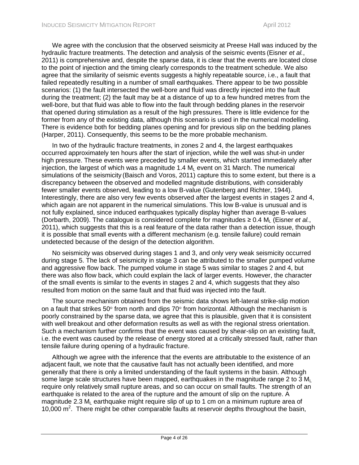We agree with the conclusion that the observed seismicity at Preese Hall was induced by the hydraulic fracture treatments. The detection and analysis of the seismic events (Eisner *et al.*, 2011) is comprehensive and, despite the sparse data, it is clear that the events are located close to the point of injection and the timing clearly corresponds to the treatment schedule. We also agree that the similarity of seismic events suggests a highly repeatable source, i.e., a fault that failed repeatedly resulting in a number of small earthquakes. There appear to be two possible scenarios: (1) the fault intersected the well-bore and fluid was directly injected into the fault during the treatment; (2) the fault may be at a distance of up to a few hundred metres from the well-bore, but that fluid was able to flow into the fault through bedding planes in the reservoir that opened during stimulation as a result of the high pressures. There is little evidence for the former from any of the existing data, although this scenario is used in the numerical modelling. There is evidence both for bedding planes opening and for previous slip on the bedding planes (Harper, 2011). Consequently, this seems to be the more probable mechanism.

In two of the hydraulic fracture treatments, in zones 2 and 4, the largest earthquakes occurred approximately ten hours after the start of injection, while the well was shut-in under high pressure. These events were preceded by smaller events, which started immediately after injection, the largest of which was a magnitude  $1.4 M<sub>l</sub>$  event on 31 March. The numerical simulations of the seismicity (Baisch and Voros, 2011) capture this to some extent, but there is a discrepancy between the observed and modelled magnitude distributions, with considerably fewer smaller events observed, leading to a low B-value (Gutenberg and Richter, 1944). Interestingly, there are also very few events observed after the largest events in stages 2 and 4, which again are not apparent in the numerical simulations. This low B-value is unusual and is not fully explained, since induced earthquakes typically display higher than average B-values (Dorbarth, 2009). The catalogue is considered complete for magnitudes  $\geq 0.4$  M<sub>L</sub> (Eisner *et al.*, 2011), which suggests that this is a real feature of the data rather than a detection issue, though it is possible that small events with a different mechanism (e.g. tensile failure) could remain undetected because of the design of the detection algorithm.

No seismicity was observed during stages 1 and 3, and only very weak seismicity occurred during stage 5. The lack of seismicity in stage 3 can be attributed to the smaller pumped volume and aggressive flow back. The pumped volume in stage 5 was similar to stages 2 and 4, but there was also flow back, which could explain the lack of larger events. However, the character of the small events is similar to the events in stages 2 and 4, which suggests that they also resulted from motion on the same fault and that fluid was injected into the fault.

The source mechanism obtained from the seismic data shows left-lateral strike-slip motion on a fault that strikes 50 $\degree$  from north and dips 70 $\degree$  from horizontal. Although the mechanism is poorly constrained by the sparse data, we agree that this is plausible, given that it is consistent with well breakout and other deformation results as well as with the regional stress orientation. Such a mechanism further confirms that the event was caused by shear-slip on an existing fault, i.e. the event was caused by the release of energy stored at a critically stressed fault, rather than tensile failure during opening of a hydraulic fracture.

Although we agree with the inference that the events are attributable to the existence of an adjacent fault, we note that the causative fault has not actually been identified, and more generally that there is only a limited understanding of the fault systems in the basin. Although some large scale structures have been mapped, earthquakes in the magnitude range 2 to 3  $M<sub>1</sub>$ require only relatively small rupture areas, and so can occur on small faults. The strength of an earthquake is related to the area of the rupture and the amount of slip on the rupture. A magnitude 2.3  $M<sub>1</sub>$  earthquake might require slip of up to 1 cm on a minimum rupture area of 10,000 m<sup>2</sup>. There might be other comparable faults at reservoir depths throughout the basin,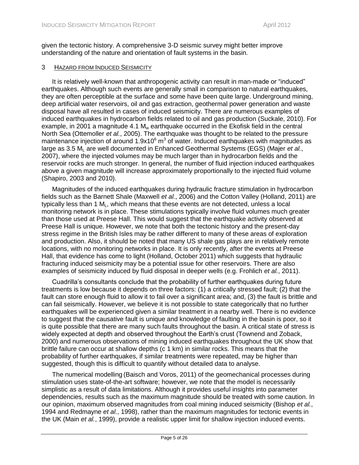given the tectonic history. A comprehensive 3-D seismic survey might better improve understanding of the nature and orientation of fault systems in the basin.

#### <span id="page-8-0"></span>3 HAZARD FROM INDUCED SEISMICITY

It is relatively well-known that anthropogenic activity can result in man-made or "induced" earthquakes. Although such events are generally small in comparison to natural earthquakes, they are often perceptible at the surface and some have been quite large. Underground mining, deep artificial water reservoirs, oil and gas extraction, geothermal power generation and waste disposal have all resulted in cases of induced seismicity. There are numerous examples of induced earthquakes in hydrocarbon fields related to oil and gas production (Suckale, 2010). For example, in 2001 a magnitude 4.1  $M_w$  earthquake occurred in the Ekofisk field in the central North Sea (Ottemoller *et al.*, 2005). The earthquake was thought to be related to the pressure maintenance injection of around 1.9x10 $^6$  m<sup>3</sup> of water. Induced earthquakes with magnitudes as large as 3.5 M<sub>u</sub> are well documented in Enhanced Geothermal Systems (EGS) (Majer *et al.*, 2007), where the injected volumes may be much larger than in hydrocarbon fields and the reservoir rocks are much stronger. In general, the number of fluid injection induced earthquakes above a given magnitude will increase approximately proportionally to the injected fluid volume (Shapiro, 2003 and 2010).

Magnitudes of the induced earthquakes during hydraulic fracture stimulation in hydrocarbon fields such as the Barnett Shale (Maxwell *et al.*, 2006) and the Cotton Valley (Holland, 2011) are typically less than 1  $M<sub>L</sub>$ , which means that these events are not detected, unless a local monitoring network is in place. These stimulations typically involve fluid volumes much greater than those used at Preese Hall. This would suggest that the earthquake activity observed at Preese Hall is unique. However, we note that both the tectonic history and the present-day stress regime in the British Isles may be rather different to many of these areas of exploration and production. Also, it should be noted that many US shale gas plays are in relatively remote locations, with no monitoring networks in place. It is only recently, after the events at Preese Hall, that evidence has come to light (Holland, October 2011) which suggests that hydraulic fracturing induced seismicity may be a potential issue for other reservoirs. There are also examples of seismicity induced by fluid disposal in deeper wells (e.g. Frohlich *et al.*, 2011).

Cuadrilla's consultants conclude that the probability of further earthquakes during future treatments is low because it depends on three factors: (1) a critically stressed fault; (2) that the fault can store enough fluid to allow it to fail over a significant area; and, (3) the fault is brittle and can fail seismically. However, we believe it is not possible to state categorically that no further earthquakes will be experienced given a similar treatment in a nearby well. There is no evidence to suggest that the causative fault is unique and knowledge of faulting in the basin is poor, so it is quite possible that there are many such faults throughout the basin. A critical state of stress is widely expected at depth and observed throughout the Earth's crust (Townend and Zoback, 2000) and numerous observations of mining induced earthquakes throughout the UK show that brittle failure can occur at shallow depths (c 1 km) in similar rocks. This means that the probability of further earthquakes, if similar treatments were repeated, may be higher than suggested, though this is difficult to quantify without detailed data to analyse.

The numerical modelling (Baisch and Voros, 2011) of the geomechanical processes during stimulation uses state-of-the-art software; however, we note that the model is necessarily simplistic as a result of data limitations. Although it provides useful insights into parameter dependencies, results such as the maximum magnitude should be treated with some caution. In our opinion, maximum observed magnitudes from coal mining induced seismicity (Bishop *et al.*, 1994 and Redmayne *et al.*, 1998), rather than the maximum magnitudes for tectonic events in the UK (Main *et al.*, 1999), provide a realistic upper limit for shallow injection induced events.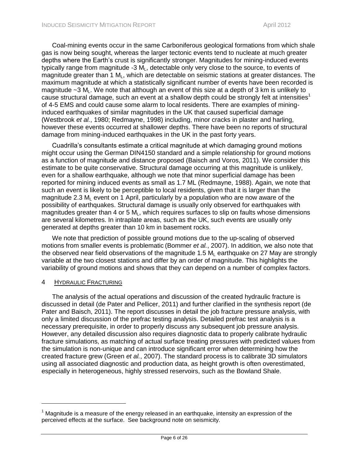Coal-mining events occur in the same Carboniferous geological formations from which shale gas is now being sought, whereas the larger tectonic events tend to nucleate at much greater depths where the Earth's crust is significantly stronger. Magnitudes for mining-induced events typically range from magnitude -3  $M<sub>L</sub>$ , detectable only very close to the source, to events of magnitude greater than 1  $M<sub>L</sub>$ , which are detectable on seismic stations at greater distances. The maximum magnitude at which a statistically significant number of events have been recorded is magnitude  $\sim$ 3 M<sub>L</sub>. We note that although an event of this size at a depth of 3 km is unlikely to cause structural damage, such an event at a shallow depth could be strongly felt at intensities<sup>1</sup> of 4-5 EMS and could cause some alarm to local residents. There are examples of mininginduced earthquakes of similar magnitudes in the UK that caused superficial damage (Westbrook *et al.*, 1980; Redmayne, 1998) including, minor cracks in plaster and harling, however these events occurred at shallower depths. There have been no reports of structural damage from mining-induced earthquakes in the UK in the past forty years.

Cuadrilla's consultants estimate a critical magnitude at which damaging ground motions might occur using the German DIN4150 standard and a simple relationship for ground motions as a function of magnitude and distance proposed (Baisch and Voros, 2011). We consider this estimate to be quite conservative. Structural damage occurring at this magnitude is unlikely, even for a shallow earthquake, although we note that minor superficial damage has been reported for mining induced events as small as 1.7 ML (Redmayne, 1988). Again, we note that such an event is likely to be perceptible to local residents, given that it is larger than the magnitude 2.3  $M<sub>1</sub>$  event on 1 April, particularly by a population who are now aware of the possibility of earthquakes. Structural damage is usually only observed for earthquakes with magnitudes greater than 4 or 5  $M<sub>L</sub>$ , which requires surfaces to slip on faults whose dimensions are several kilometres. In intraplate areas, such as the UK, such events are usually only generated at depths greater than 10 km in basement rocks.

We note that prediction of possible ground motions due to the up-scaling of observed motions from smaller events is problematic (Bommer *et al.*, 2007). In addition, we also note that the observed near field observations of the magnitude 1.5  $M<sub>L</sub>$  earthquake on 27 May are strongly variable at the two closest stations and differ by an order of magnitude. This highlights the variability of ground motions and shows that they can depend on a number of complex factors.

#### <span id="page-9-0"></span>4 HYDRAULIC FRACTURING

The analysis of the actual operations and discussion of the created hydraulic fracture is discussed in detail (de Pater and Pellicer, 2011) and further clarified in the synthesis report (de Pater and Baisch, 2011). The report discusses in detail the job fracture pressure analysis, with only a limited discussion of the prefrac testing analysis. Detailed prefrac test analysis is a necessary prerequisite, in order to properly discuss any subsequent job pressure analysis. However, any detailed discussion also requires diagnostic data to properly calibrate hydraulic fracture simulations, as matching of actual surface treating pressures with predicted values from the simulation is non-unique and can introduce significant error when determining how the created fracture grew (Green *et al.*, 2007). The standard process is to calibrate 3D simulators using all associated diagnostic and production data, as height growth is often overestimated, especially in heterogeneous, highly stressed reservoirs, such as the Bowland Shale.

 $1$  Magnitude is a measure of the energy released in an earthquake, intensity an expression of the perceived effects at the surface. See background note on seismicity.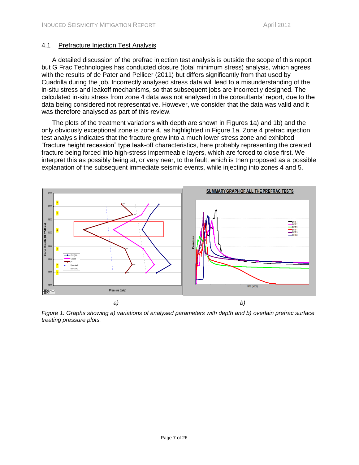# <span id="page-10-0"></span>4.1 Prefracture Injection Test Analysis

A detailed discussion of the prefrac injection test analysis is outside the scope of this report but G Frac Technologies has conducted closure (total minimum stress) analysis, which agrees with the results of de Pater and Pellicer (2011) but differs significantly from that used by Cuadrilla during the job. Incorrectly analysed stress data will lead to a misunderstanding of the in-situ stress and leakoff mechanisms, so that subsequent jobs are incorrectly designed. The calculated in-situ stress from zone 4 data was not analysed in the consultants' report, due to the data being considered not representative. However, we consider that the data was valid and it was therefore analysed as part of this review.

The plots of the treatment variations with depth are shown in Figures 1a) and 1b) and the only obviously exceptional zone is zone 4, as highlighted in Figure 1a. Zone 4 prefrac injection test analysis indicates that the fracture grew into a much lower stress zone and exhibited "fracture height recession" type leak-off characteristics, here probably representing the created fracture being forced into high-stress impermeable layers, which are forced to close first. We interpret this as possibly being at, or very near, to the fault, which is then proposed as a possible explanation of the subsequent immediate seismic events, while injecting into zones 4 and 5.



<span id="page-10-1"></span>*Figure 1: Graphs showing a) variations of analysed parameters with depth and b) overlain prefrac surface treating pressure plots.*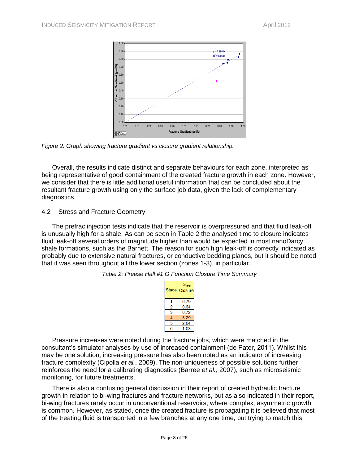

<span id="page-11-2"></span>*Figure 2: Graph showing fracture gradient vs closure gradient relationship.*

Overall, the results indicate distinct and separate behaviours for each zone, interpreted as being representative of good containment of the created fracture growth in each zone. However, we consider that there is little additional useful information that can be concluded about the resultant fracture growth using only the surface job data, given the lack of complementary diagnostics.

#### <span id="page-11-0"></span>4.2 Stress and Fracture Geometry

<span id="page-11-1"></span>The prefrac injection tests indicate that the reservoir is overpressured and that fluid leak-off is unusually high for a shale. As can be seen in Table 2 the analysed time to closure indicates fluid leak-off several orders of magnitude higher than would be expected in most nanoDarcy shale formations, such as the Barnett. The reason for such high leak-off is correctly indicated as probably due to extensive natural fractures, or conductive bedding planes, but it should be noted that it was seen throughout all the lower section (zones 1-3), in particular.

| Table 2: Preese Hall #1 G Function Closure Time Summary |  |  |
|---------------------------------------------------------|--|--|
|---------------------------------------------------------|--|--|

| <b>Stage</b> | $G_{time}$<br><b>Closure</b> |
|--------------|------------------------------|
|              | 0.79                         |
| 2            | 0.64                         |
| 3            | 0.72                         |
|              | 3.29                         |
| 5            | 2.84                         |
| R            | 1 03                         |

Pressure increases were noted during the fracture jobs, which were matched in the consultant's simulator analyses by use of increased containment (de Pater, 2011). Whilst this may be one solution, increasing pressure has also been noted as an indicator of increasing fracture complexity (Cipolla *et al.*, 2009). The non-uniqueness of possible solutions further reinforces the need for a calibrating diagnostics (Barree *et al.*, 2007), such as microseismic monitoring, for future treatments.

There is also a confusing general discussion in their report of created hydraulic fracture growth in relation to bi-wing fractures and fracture networks, but as also indicated in their report, bi-wing fractures rarely occur in unconventional reservoirs, where complex, asymmetric growth is common. However, as stated, once the created fracture is propagating it is believed that most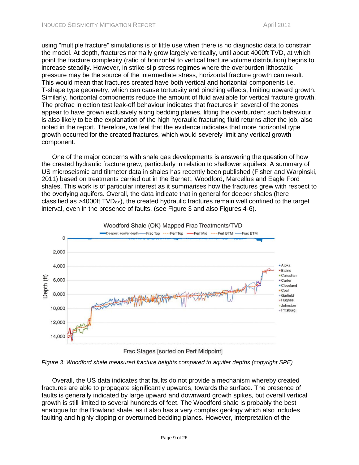using "multiple fracture" simulations is of little use when there is no diagnostic data to constrain the model. At depth, fractures normally grow largely vertically, until about 4000ft TVD, at which point the fracture complexity (ratio of horizontal to vertical fracture volume distribution) begins to increase steadily. However, in strike-slip stress regimes where the overburden lithostatic pressure may be the source of the intermediate stress, horizontal fracture growth can result. This would mean that fractures created have both vertical and horizontal components i.e. T-shape type geometry, which can cause tortuosity and pinching effects, limiting upward growth. Similarly, horizontal components reduce the amount of fluid available for vertical fracture growth. The prefrac injection test leak-off behaviour indicates that fractures in several of the zones appear to have grown exclusively along bedding planes, lifting the overburden; such behaviour is also likely to be the explanation of the high hydraulic fracturing fluid returns after the job, also noted in the report. Therefore, we feel that the evidence indicates that more horizontal type growth occurred for the created fractures, which would severely limit any vertical growth component.

One of the major concerns with shale gas developments is answering the question of how the created hydraulic fracture grew, particularly in relation to shallower aquifers. A summary of US microseismic and tiltmeter data in shales has recently been published (Fisher and Warpinski, 2011) based on treatments carried out in the Barnett, Woodford, Marcellus and Eagle Ford shales. This work is of particular interest as it summarises how the fractures grew with respect to the overlying aquifers. Overall, the data indicate that in general for deeper shales (here classified as  $>4000$ ft TVD<sub>ss</sub>), the created hydraulic fractures remain well confined to the target interval, even in the presence of faults, (see Figure 3 and also Figures 4-6).



<span id="page-12-0"></span>*Figure 3: Woodford shale measured fracture heights compared to aquifer depths (copyright SPE)*

Overall, the US data indicates that faults do not provide a mechanism whereby created fractures are able to propagate significantly upwards, towards the surface. The presence of faults is generally indicated by large upward and downward growth spikes, but overall vertical growth is still limited to several hundreds of feet. The Woodford shale is probably the best analogue for the Bowland shale, as it also has a very complex geology which also includes faulting and highly dipping or overturned bedding planes. However, interpretation of the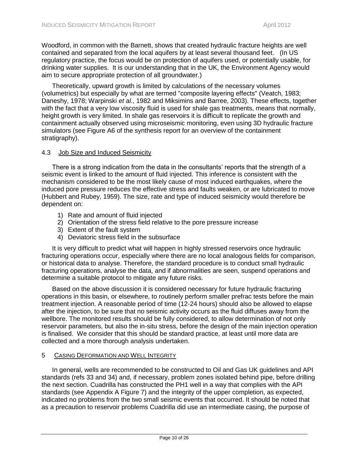Woodford, in common with the Barnett, shows that created hydraulic fracture heights are well contained and separated from the local aquifers by at least several thousand feet. (In US regulatory practice, the focus would be on protection of aquifers used, or potentially usable, for drinking water supplies. It is our understanding that in the UK, the Environment Agency would aim to secure appropriate protection of all groundwater.)

Theoretically, upward growth is limited by calculations of the necessary volumes (volumetrics) but especially by what are termed "composite layering effects" (Veatch, 1983; Daneshy, 1978; Warpinski *et al.*, 1982 and Miksimins and Barree, 2003). These effects, together with the fact that a very low viscosity fluid is used for shale gas treatments, means that normally, height growth is very limited. In shale gas reservoirs it is difficult to replicate the growth and containment actually observed using microseismic monitoring, even using 3D hydraulic fracture simulators (see Figure A6 of the synthesis report for an overview of the containment stratigraphy).

# <span id="page-13-0"></span>4.3 Job Size and Induced Seismicity

There is a strong indication from the data in the consultants' reports that the strength of a seismic event is linked to the amount of fluid injected. This inference is consistent with the mechanism considered to be the most likely cause of most induced earthquakes, where the induced pore pressure reduces the effective stress and faults weaken, or are lubricated to move (Hubbert and Rubey, 1959). The size, rate and type of induced seismicity would therefore be dependent on:

- 1) Rate and amount of fluid injected
- 2) Orientation of the stress field relative to the pore pressure increase
- 3) Extent of the fault system
- 4) Deviatoric stress field in the subsurface

It is very difficult to predict what will happen in highly stressed reservoirs once hydraulic fracturing operations occur, especially where there are no local analogous fields for comparison, or historical data to analyse. Therefore, the standard procedure is to conduct small hydraulic fracturing operations, analyse the data, and if abnormalities are seen, suspend operations and determine a suitable protocol to mitigate any future risks.

Based on the above discussion it is considered necessary for future hydraulic fracturing operations in this basin, or elsewhere, to routinely perform smaller prefrac tests before the main treatment injection. A reasonable period of time (12-24 hours) should also be allowed to elapse after the injection, to be sure that no seismic activity occurs as the fluid diffuses away from the wellbore. The monitored results should be fully considered, to allow determination of not only reservoir parameters, but also the in-situ stress, before the design of the main injection operation is finalised. We consider that this should be standard practice, at least until more data are collected and a more thorough analysis undertaken.

# <span id="page-13-1"></span>5 CASING DEFORMATION AND WELL INTEGRITY

In general, wells are recommended to be constructed to Oil and Gas UK guidelines and API standards (refs 33 and 34) and, if necessary, problem zones isolated behind pipe, before drilling the next section. Cuadrilla has constructed the PH1 well in a way that complies with the API standards (see Appendix A Figure 7) and the integrity of the upper completion, as expected, indicated no problems from the two small seismic events that occurred. It should be noted that as a precaution to reservoir problems Cuadrilla did use an intermediate casing, the purpose of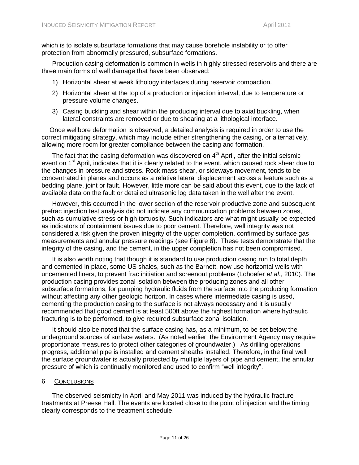which is to isolate subsurface formations that may cause borehole instability or to offer protection from abnormally pressured, subsurface formations.

Production casing deformation is common in wells in highly stressed reservoirs and there are three main forms of well damage that have been observed:

- 1) Horizontal shear at weak lithology interfaces during reservoir compaction.
- 2) Horizontal shear at the top of a production or injection interval, due to temperature or pressure volume changes.
- 3) Casing buckling and shear within the producing interval due to axial buckling, when lateral constraints are removed or due to shearing at a lithological interface.

Once wellbore deformation is observed, a detailed analysis is required in order to use the correct mitigating strategy, which may include either strengthening the casing, or alternatively, allowing more room for greater compliance between the casing and formation.

The fact that the casing deformation was discovered on  $4<sup>th</sup>$  April, after the initial seismic event on 1<sup>st</sup> April, indicates that it is clearly related to the event, which caused rock shear due to the changes in pressure and stress. Rock mass shear, or sideways movement, tends to be concentrated in planes and occurs as a relative lateral displacement across a feature such as a bedding plane, joint or fault. However, little more can be said about this event, due to the lack of available data on the fault or detailed ultrasonic log data taken in the well after the event.

However, this occurred in the lower section of the reservoir productive zone and subsequent prefrac injection test analysis did not indicate any communication problems between zones, such as cumulative stress or high tortuosity. Such indicators are what might usually be expected as indicators of containment issues due to poor cement. Therefore, well integrity was not considered a risk given the proven integrity of the upper completion, confirmed by surface gas measurements and annular pressure readings (see Figure 8). These tests demonstrate that the integrity of the casing, and the cement, in the upper completion has not been compromised.

It is also worth noting that though it is standard to use production casing run to total depth and cemented in place, some US shales, such as the Barnett, now use horizontal wells with uncemented liners, to prevent frac initiation and screenout problems (Lohoefer *et al.*, 2010). The production casing provides zonal isolation between the producing zones and all other subsurface formations, for pumping hydraulic fluids from the surface into the producing formation without affecting any other geologic horizon. In cases where intermediate casing is used, cementing the production casing to the surface is not always necessary and it is usually recommended that good cement is at least 500ft above the highest formation where hydraulic fracturing is to be performed, to give required subsurface zonal isolation.

It should also be noted that the surface casing has, as a minimum, to be set below the underground sources of surface waters. (As noted earlier, the Environment Agency may require proportionate measures to protect other categories of groundwater.) As drilling operations progress, additional pipe is installed and cement sheaths installed. Therefore, in the final well the surface groundwater is actually protected by multiple layers of pipe and cement, the annular pressure of which is continually monitored and used to confirm "well integrity".

#### <span id="page-14-0"></span>6 CONCLUSIONS

The observed seismicity in April and May 2011 was induced by the hydraulic fracture treatments at Preese Hall. The events are located close to the point of injection and the timing clearly corresponds to the treatment schedule.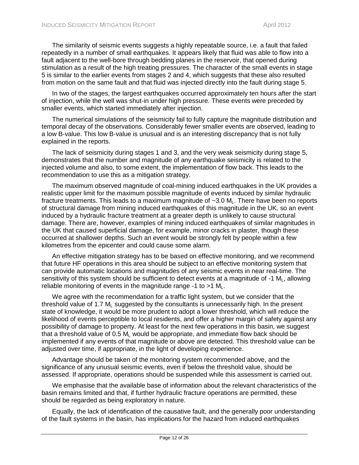The similarity of seismic events suggests a highly repeatable source, i.e. a fault that failed repeatedly in a number of small earthquakes. It appears likely that fluid was able to flow into a fault adjacent to the well-bore through bedding planes in the reservoir, that opened during stimulation as a result of the high treating pressures. The character of the small events in stage 5 is similar to the earlier events from stages 2 and 4, which suggests that these also resulted from motion on the same fault and that fluid was injected directly into the fault during stage 5.

In two of the stages, the largest earthquakes occurred approximately ten hours after the start of injection, while the well was shut-in under high pressure. These events were preceded by smaller events, which started immediately after injection.

The numerical simulations of the seismicity fail to fully capture the magnitude distribution and temporal decay of the observations. Considerably fewer smaller events are observed, leading to a low B-value. This low B-value is unusual and is an interesting discrepancy that is not fully explained in the reports.

The lack of seismicity during stages 1 and 3, and the very weak seismicity during stage 5, demonstrates that the number and magnitude of any earthquake seismicity is related to the injected volume and also, to some extent, the implementation of flow back. This leads to the recommendation to use this as a mitigation strategy.

The maximum observed magnitude of coal-mining induced earthquakes in the UK provides a realistic upper limit for the maximum possible magnitude of events induced by similar hydraulic fracture treatments. This leads to a maximum magnitude of  $\sim$ 3.0 M<sub>L</sub>. There have been no reports of structural damage from mining induced earthquakes of this magnitude in the UK, so an event induced by a hydraulic fracture treatment at a greater depth is unlikely to cause structural damage. There are, however, examples of mining induced earthquakes of similar magnitudes in the UK that caused superficial damage, for example, minor cracks in plaster, though these occurred at shallower depths. Such an event would be strongly felt by people within a few kilometres from the epicenter and could cause some alarm.

An effective mitigation strategy has to be based on effective monitoring, and we recommend that future HF operations in this area should be subject to an effective monitoring system that can provide automatic locations and magnitudes of any seismic events in near real-time. The sensitivity of this system should be sufficient to detect events at a magnitude of  $-1$  M<sub>1</sub>, allowing reliable monitoring of events in the magnitude range  $-1$  to  $>1$  M<sub>L</sub>.

We agree with the recommendation for a traffic light system, but we consider that the threshold value of 1.7  $M<sub>l</sub>$  suggested by the consultants is unnecessarily high. In the present state of knowledge, it would be more prudent to adopt a lower threshold, which will reduce the likelihood of events perceptible to local residents, and offer a higher margin of safety against any possibility of damage to property. At least for the next few operations in this basin, we suggest that a threshold value of 0.5  $M<sub>L</sub>$  would be appropriate, and immediate flow back should be implemented if any events of that magnitude or above are detected. This threshold value can be adjusted over time, if appropriate, in the light of developing experience.

Advantage should be taken of the monitoring system recommended above, and the significance of any unusual seismic events, even if below the threshold value, should be assessed. If appropriate, operations should be suspended while this assessment is carried out.

We emphasise that the available base of information about the relevant characteristics of the basin remains limited and that, if further hydraulic fracture operations are permitted, these should be regarded as being exploratory in nature.

Equally, the lack of identification of the causative fault, and the generally poor understanding of the fault systems in the basin, has implications for the hazard from induced earthquakes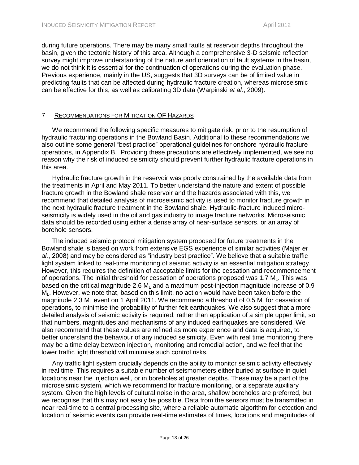during future operations. There may be many small faults at reservoir depths throughout the basin, given the tectonic history of this area. Although a comprehensive 3-D seismic reflection survey might improve understanding of the nature and orientation of fault systems in the basin, we do not think it is essential for the continuation of operations during the evaluation phase. Previous experience, mainly in the US, suggests that 3D surveys can be of limited value in predicting faults that can be affected during hydraulic fracture creation, whereas microseismic can be effective for this, as well as calibrating 3D data (Warpinski *et al.*, 2009).

# <span id="page-16-0"></span>7 RECOMMENDATIONS FOR MITIGATION OF HAZARDS

We recommend the following specific measures to mitigate risk, prior to the resumption of hydraulic fracturing operations in the Bowland Basin. Additional to these recommendations we also outline some general "best practice" operational guidelines for onshore hydraulic fracture operations, in Appendix B. Providing these precautions are effectively implemented, we see no reason why the risk of induced seismicity should prevent further hydraulic fracture operations in this area.

Hydraulic fracture growth in the reservoir was poorly constrained by the available data from the treatments in April and May 2011. To better understand the nature and extent of possible fracture growth in the Bowland shale reservoir and the hazards associated with this, we recommend that detailed analysis of microseismic activity is used to monitor fracture growth in the next hydraulic fracture treatment in the Bowland shale. Hydraulic-fracture induced microseismicity is widely used in the oil and gas industry to image fracture networks. Microseismic data should be recorded using either a dense array of near-surface sensors, or an array of borehole sensors.

The induced seismic protocol mitigation system proposed for future treatments in the Bowland shale is based on work from extensive EGS experience of similar activities (Majer *et al.*, 2008) and may be considered as "industry best practice". We believe that a suitable traffic light system linked to real-time monitoring of seismic activity is an essential mitigation strategy. However, this requires the definition of acceptable limits for the cessation and recommencement of operations. The initial threshold for cessation of operations proposed was 1.7  $M<sub>L</sub>$ . This was based on the critical magnitude 2.6  $M<sub>1</sub>$  and a maximum post-injection magnitude increase of 0.9  $M<sub>l</sub>$ . However, we note that, based on this limit, no action would have been taken before the magnitude 2.3  $M<sub>l</sub>$  event on 1 April 2011. We recommend a threshold of 0.5  $M<sub>l</sub>$  for cessation of operations, to minimise the probability of further felt earthquakes. We also suggest that a more detailed analysis of seismic activity is required, rather than application of a simple upper limit, so that numbers, magnitudes and mechanisms of any induced earthquakes are considered. We also recommend that these values are refined as more experience and data is acquired, to better understand the behaviour of any induced seismicity. Even with real time monitoring there may be a time delay between injection, monitoring and remedial action, and we feel that the lower traffic light threshold will minimise such control risks.

Any traffic light system crucially depends on the ability to monitor seismic activity effectively in real time. This requires a suitable number of seismometers either buried at surface in quiet locations near the injection well, or in boreholes at greater depths. These may be a part of the microseismic system, which we recommend for fracture monitoring, or a separate auxiliary system. Given the high levels of cultural noise in the area, shallow boreholes are preferred, but we recognise that this may not easily be possible. Data from the sensors must be transmitted in near real-time to a central processing site, where a reliable automatic algorithm for detection and location of seismic events can provide real-time estimates of times, locations and magnitudes of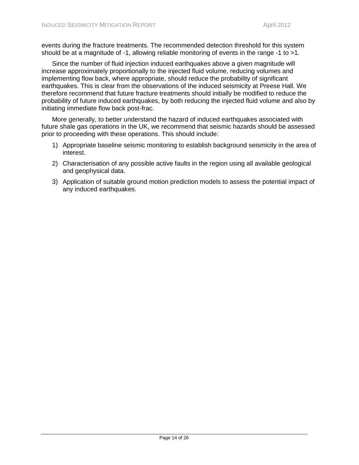events during the fracture treatments. The recommended detection threshold for this system should be at a magnitude of -1, allowing reliable monitoring of events in the range -1 to >1.

Since the number of fluid injection induced earthquakes above a given magnitude will increase approximately proportionally to the injected fluid volume, reducing volumes and implementing flow back, where appropriate, should reduce the probability of significant earthquakes. This is clear from the observations of the induced seismicity at Preese Hall. We therefore recommend that future fracture treatments should initially be modified to reduce the probability of future induced earthquakes, by both reducing the injected fluid volume and also by initiating immediate flow back post-frac.

More generally, to better understand the hazard of induced earthquakes associated with future shale gas operations in the UK, we recommend that seismic hazards should be assessed prior to proceeding with these operations. This should include:

- 1) Appropriate baseline seismic monitoring to establish background seismicity in the area of interest.
- 2) Characterisation of any possible active faults in the region using all available geological and geophysical data.
- 3) Application of suitable ground motion prediction models to assess the potential impact of any induced earthquakes.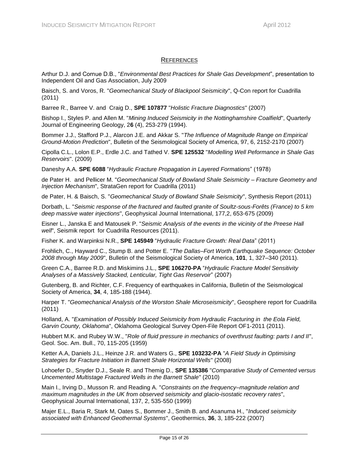# **REFERENCES**

<span id="page-18-0"></span>Arthur D.J. and Cornue D.B., "*Environmental Best Practices for Shale Gas Development*", presentation to Independent Oil and Gas Association, July 2009

Baisch, S. and Voros, R. "*Geomechanical Study of Blackpool Seismicity*", Q-Con report for Cuadrilla (2011)

Barree R., Barree V. and Craig D., **SPE 107877** "*Holistic Fracture Diagnostics*" (2007)

Bishop I., Styles P. and Allen M. "*Mining Induced Seismicity in the Nottinghamshire Coalfield*", Quarterly Journal of Engineering Geology, 2**6** (4), 253-279 (1994).

Bommer J.J., Stafford P.J., Alarcon J.E. and Akkar S. "*The Influence of Magnitude Range on Empirical Ground-Motion Prediction*", Bulletin of the Seismological Society of America, 97, 6, 2152-2170 (2007)

Cipolla C.L., Lolon E.P., Erdle J.C. and Tathed V. **SPE 125532** "*Modelling Well Peformance in Shale Gas Reservoirs*". (2009)

Daneshy A.A. **SPE 6088** "*Hydraulic Fracture Propagation in Layered Formations*" (1978)

de Pater H. and Pellicer M. "*Geomechanical Study of Bowland Shale Seismicity – Fracture Geometry and Injection Mechanism*", StrataGen report for Cuadrilla (2011)

de Pater, H. & Baisch, S. "*Geomechanical Study of Bowland Shale Seismicity*", Synthesis Report (2011)

Dorbath, L. "*Seismic response of the fractured and faulted granite of Soultz-sous-Forêts (France) to 5 km deep massive water injections*", Geophysical Journal International, 177,2, 653-675 (2009)

Eisner L., Janska E and Matousek P. "*Seismic Analysis of the events in the vicinity of the Preese Hall well*", Seismik report for Cuadrilla Resources (2011).

Fisher K. and Warpinksi N.R., **SPE 145949** "*Hydraulic Fracture Growth: Real Data*" (2011)

Frohlich, C., Hayward C., Stump B. and Potter E. "*The Dallas–Fort Worth Earthquake Sequence: October 2008 through May 2009*", Bulletin of the Seismological Society of America, **101**, 1, 327–340 (2011).

Green C.A., Barree R.D. and Miskimins J.L., **SPE 106270-PA** "*Hydraulic Fracture Model Sensitivity Analyses of a Massively Stacked, Lenticular, Tight Gas Reservoir*" (2007)

Gutenberg, B. and Richter, C.F. Frequency of earthquakes in California, Bulletin of the Seismological Society of America, **34**, 4, 185-188 (1944).

Harper T. "*Geomechanical Analysis of the Worston Shale Microseismicity*", Geosphere report for Cuadrilla (2011)

Holland, A. "*Examination of Possibly Induced Seismicity from Hydraulic Fracturing in the Eola Field, Garvin County, Oklahoma*", Oklahoma Geological Survey Open-File Report OF1-2011 (2011).

Hubbert M.K. and Rubey W.W., "*Role of fluid pressure in mechanics of overthrust faulting: parts I and II*", Geol. Soc. Am. Bull., 70, 115-205 (1959)

Ketter A.A, Daniels J.L., Heinze J.R. and Waters G., **SPE 103232-PA** "*A Field Study in Optimising Strategies for Fracture Initiation in Barnett Shale Horizontal Wells*" (2008)

Lohoefer D., Snyder D.J., Seale R. and Themig D., **SPE 135386** "*Comparative Study of Cemented versus Uncemented Multistage Fractured Wells in the Barnett Shale*" (2010)

Main I., Irving D., Musson R. and Reading A. "*Constraints on the frequency–magnitude relation and maximum magnitudes in the UK from observed seismicity and glacio-isostatic recovery rates*", Geophysical Journal International, 137, 2, 535-550 (1999)

Majer E.L., Baria R, Stark M, Oates S., Bommer J., Smith B. and Asanuma H., "*Induced seismicity associated with Enhanced Geothermal Systems*", Geothermics, **36**, 3, 185-222 (2007)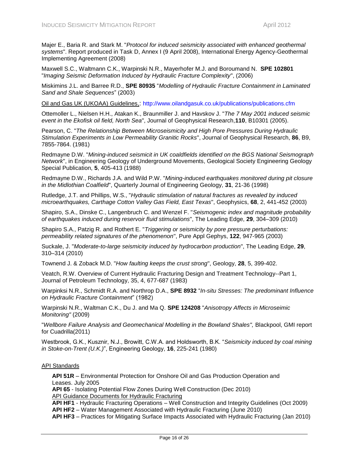Majer E., Baria R. and Stark M. "*Protocol for induced seismicity associated with enhanced geothermal systems*". Report produced in Task D, Annex I (9 April 2008), International Energy Agency-Geothermal Implementing Agreement (2008)

Maxwell S.C., Waltmann C.K., Warpinski N.R., Mayerhofer M.J. and Boroumand N. **SPE 102801** "*Imaging Seismic Deformation Induced by Hydraulic Fracture Complexity*", (2006)

Miskimins J.L. and Barree R.D., **SPE 80935** "*Modelling of Hydraulic Fracture Containment in Laminated Sand and Shale Sequences*" (2003)

Oil and Gas UK (UKOAA) Guidelines,: <http://www.oilandgasuk.co.uk/publications/publications.cfm>

Ottemoller L., Nielsen H.H., Atakan K., Braunmiller J. and Havskov J. "*The 7 May 2001 induced seismic event in the Ekofisk oil field, North Sea*", Journal of Geophysical Research,**110**, B10301 (2005).

Pearson, C. "*The Relationship Between Microseismicity and High Pore Pressures During Hydraulic Stimulation Experiments in Low Permeability Granitic Rocks*", Journal of Geophysical Research, **86**, B9, 7855-7864. (1981)

Redmayne D.W. "*Mining-induced seismicit in UK coaldfields identified on the BGS National Seismograph Network*", in Engineering Geology of Underground Movements, Geological Society Engineering Geology Special Publication, **5**, 405-413 (1988)

Redmayne D.W., Richards J.A. and Wild P.W. "*Mining-induced earthquakes monitored during pit closure in the Midlothian Coalfield*", Quarterly Journal of Engineering Geology, **31**, 21-36 (1998)

Rutledge, J.T. and Phillips, W.S., "*Hydraulic stimulation of natural fractures as revealed by induced microearthquakes, Carthage Cotton Valley Gas Field, East Texas*", Geophysics, **68**, 2, 441-452 (2003)

Shapiro, S.A., Dinske C., Langenbruch C. and Wenzel F. "*Seismogenic index and magnitude probability of earthquakes induced during reservoir fluid stimulations*", The Leading Edge, **29**, 304–309 (2010)

Shapiro S.A., Patzig R. and Rothert E. "*Triggering or seismicity by pore pressure perturbations: permeability related signatures of the phenomenon*", Pure Appl Gephys, **122**, 947-965 (2003)

Suckale, J. "*Moderate-to-large seismicity induced by hydrocarbon production*", The Leading Edge, **29**, 310–314 (2010)

Townend J. & Zoback M.D. "*How faulting keeps the crust strong*", Geology, **28**, 5, 399-402.

Veatch, R.W. Overview of Current Hydraulic Fracturing Design and Treatment Technology--Part 1, Journal of Petroleum Technology, 35, 4, 677-687 (1983)

Warpinksi N.R., Schmidt R.A. and Northrop D.A., **SPE 8932** "*In-situ Stresses: The predominant Influence on Hydraulic Fracture Containment*" (1982)

Warpinski N.R., Waltman C.K., Du J. and Ma Q. **SPE 124208** "*Anisotropy Affects in Microseimic Monitoring"* (2009)

"*Wellbore Failure Analysis and Geomechanical Modelling in the Bowland Shales",* Blackpool, GMI report for Cuadrilla(2011)

Westbrook, G.K., Kusznir, N.J., Browitt, C.W.A. and Holdsworth, B.K. "*Seismicity induced by coal mining in Stoke-on-Trent (U.K.)*", Engineering Geology, **16**, 225-241 (1980)

#### API Standards

**API 51R** – Environmental Protection for Onshore Oil and Gas Production Operation and Leases. July 2005

**API 65** - Isolating Potential Flow Zones During Well Construction (Dec 2010) API Guidance Documents for Hydraulic Fracturing

**API HF1** - Hydraulic Fracturing Operations – Well Construction and Integrity Guidelines (Oct 2009) **API HF2** – Water Management Associated with Hydraulic Fracturing (June 2010)

**API HF3** – Practices for Mitigating Surface Impacts Associated with Hydraulic Fracturing (Jan 2010)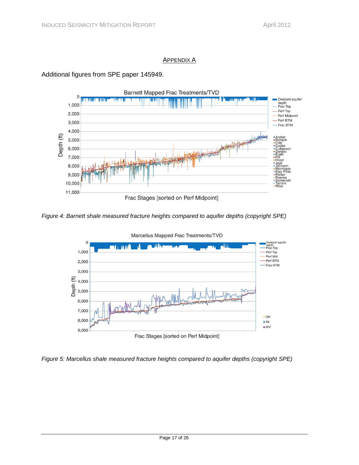### APPENDIX A

<span id="page-20-0"></span>



<span id="page-20-1"></span>*Figure 4: Barnett shale measured fracture heights compared to aquifer depths (copyright SPE)*



<span id="page-20-2"></span>*Figure 5: Marcellus shale measured fracture heights compared to aquifer depths (copyright SPE)*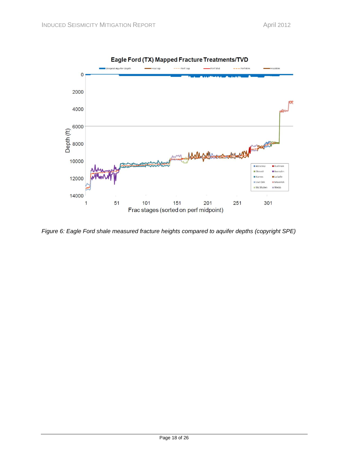

<span id="page-21-0"></span>*Figure 6: Eagle Ford shale measured fracture heights compared to aquifer depths (copyright SPE)*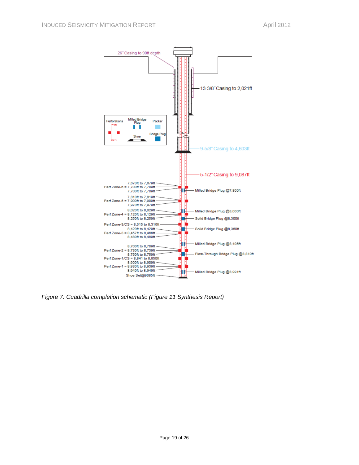

<span id="page-22-0"></span>*Figure 7: Cuadrilla completion schematic (Figure 11 Synthesis Report)*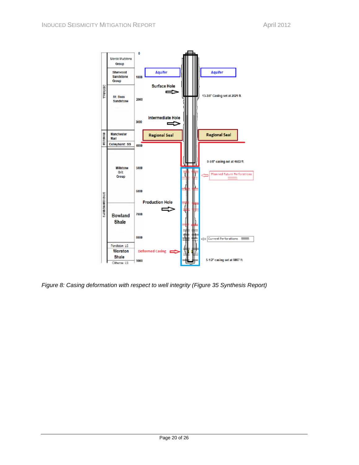

<span id="page-23-0"></span>*Figure 8: Casing deformation with respect to well integrity (Figure 35 Synthesis Report)*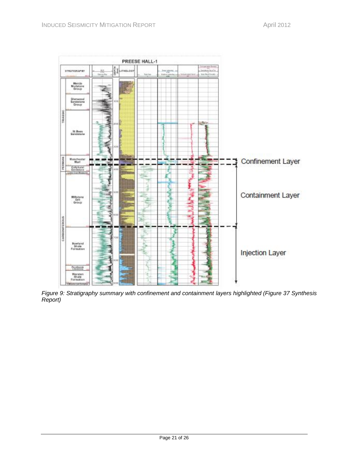

<span id="page-24-0"></span>*Figure 9: Stratigraphy summary with confinement and containment layers highlighted (Figure 37 Synthesis Report)*